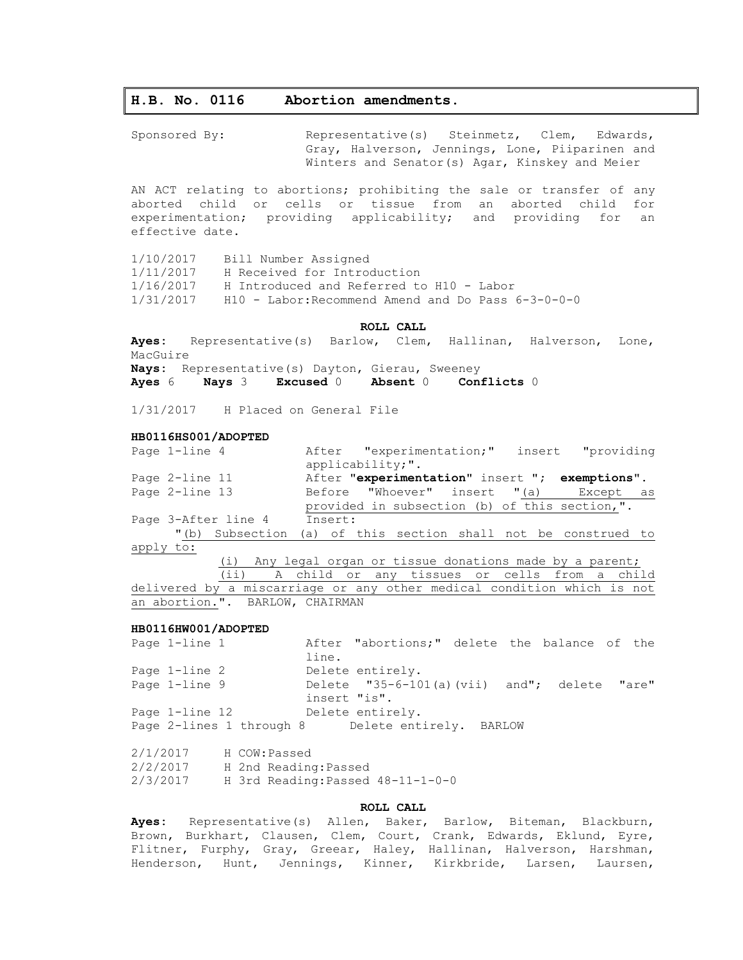# **H.B. No. 0116 Abortion amendments.**

Sponsored By: Representative(s) Steinmetz, Clem, Edwards, Gray, Halverson, Jennings, Lone, Piiparinen and Winters and Senator(s) Agar, Kinskey and Meier

AN ACT relating to abortions; prohibiting the sale or transfer of any aborted child or cells or tissue from an aborted child for experimentation; providing applicability; and providing for an effective date.

1/10/2017 Bill Number Assigned 1/11/2017 H Received for Introduction 1/16/2017 H Introduced and Referred to H10 - Labor  $1/31/2017$  H10 - Labor: Recommend Amend and Do Pass  $6-3-0-0-0$ 

# **ROLL CALL**

**Ayes:** Representative(s) Barlow, Clem, Hallinan, Halverson, Lone, MacGuire **Nays:** Representative(s) Dayton, Gierau, Sweeney

**Ayes** 6 **Nays** 3 **Excused** 0 **Absent** 0 **Conflicts** 0

1/31/2017 H Placed on General File

### **HB0116HS001/ADOPTED**

|                                                                        | Page 1-line 4  |                                                   |         |                  | After "experimentation;" insert "providing |  |  |                                                |  |
|------------------------------------------------------------------------|----------------|---------------------------------------------------|---------|------------------|--------------------------------------------|--|--|------------------------------------------------|--|
|                                                                        |                |                                                   |         | applicability;". |                                            |  |  |                                                |  |
|                                                                        | Page 2-line 11 |                                                   |         |                  |                                            |  |  | After "experimentation" insert "; exemptions". |  |
|                                                                        | Page 2-line 13 |                                                   |         |                  |                                            |  |  | Before "Whoever" insert "(a) Except as         |  |
|                                                                        |                |                                                   |         |                  |                                            |  |  | provided in subsection (b) of this section,".  |  |
|                                                                        |                | Page 3-After line 4                               | Insert: |                  |                                            |  |  |                                                |  |
|                                                                        |                | "(b) Subsection                                   |         |                  |                                            |  |  | (a) of this section shall not be construed to  |  |
| apply to:                                                              |                |                                                   |         |                  |                                            |  |  |                                                |  |
| Any legal organ or tissue donations made by a parent;<br>(i)           |                |                                                   |         |                  |                                            |  |  |                                                |  |
|                                                                        |                | (ii) A child or any tissues or cells from a child |         |                  |                                            |  |  |                                                |  |
| delivered by a miscarriage or any other medical condition which is not |                |                                                   |         |                  |                                            |  |  |                                                |  |
| an abortion.". BARLOW, CHAIRMAN                                        |                |                                                   |         |                  |                                            |  |  |                                                |  |

## **HB0116HW001/ADOPTED**

| Page 1-line 1  |              | After "abortions;" delete the balance of the     |  |  |       |
|----------------|--------------|--------------------------------------------------|--|--|-------|
|                | line.        |                                                  |  |  |       |
| Page 1-line 2  |              | Delete entirely.                                 |  |  |       |
| Page 1-line 9  |              | Delete $"35-6-101(a)(vii)$ and"; delete          |  |  | "are" |
|                | insert "is". |                                                  |  |  |       |
| Page 1-line 12 |              | Delete entirely.                                 |  |  |       |
|                |              | Page 2-lines 1 through 8 Delete entirely. BARLOW |  |  |       |

2/1/2017 H COW:Passed 2/2/2017 H 2nd Reading:Passed 2/3/2017 H 3rd Reading:Passed 48-11-1-0-0

## **ROLL CALL**

**Ayes:** Representative(s) Allen, Baker, Barlow, Biteman, Blackburn, Brown, Burkhart, Clausen, Clem, Court, Crank, Edwards, Eklund, Eyre, Flitner, Furphy, Gray, Greear, Haley, Hallinan, Halverson, Harshman, Henderson, Hunt, Jennings, Kinner, Kirkbride, Larsen, Laursen,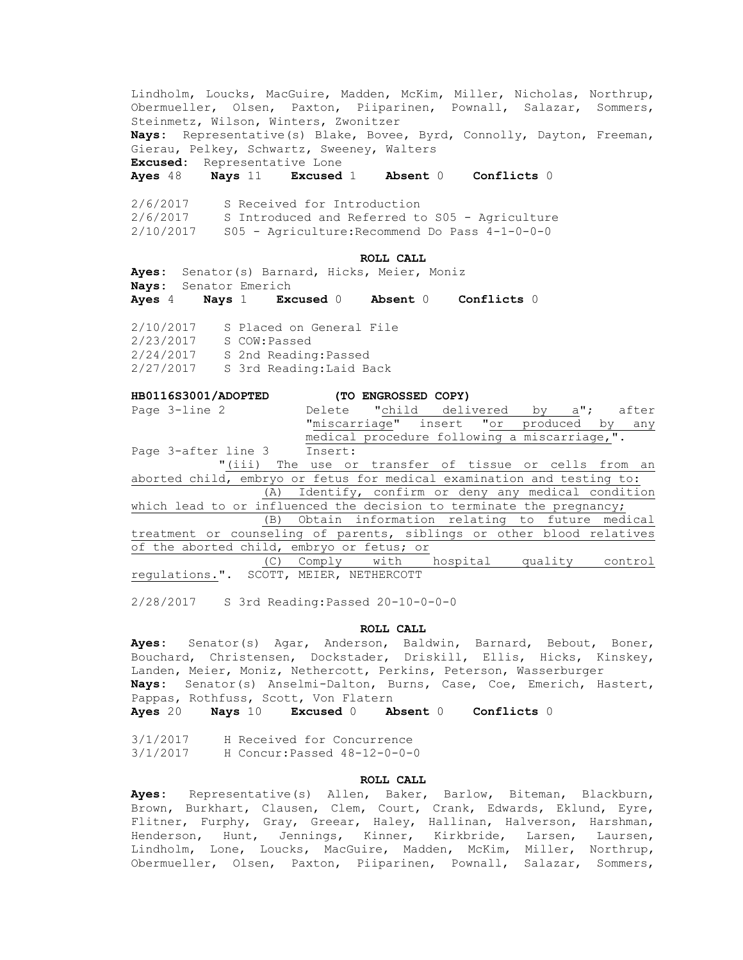Lindholm, Loucks, MacGuire, Madden, McKim, Miller, Nicholas, Northrup, Obermueller, Olsen, Paxton, Piiparinen, Pownall, Salazar, Sommers, Steinmetz, Wilson, Winters, Zwonitzer **Nays:** Representative(s) Blake, Bovee, Byrd, Connolly, Dayton, Freeman, Gierau, Pelkey, Schwartz, Sweeney, Walters **Excused:** Representative Lone

**Ayes** 48 **Nays** 11 **Excused** 1 **Absent** 0 **Conflicts** 0

2/6/2017 S Received for Introduction 2/6/2017 S Introduced and Referred to S05 - Agriculture 2/10/2017 S05 - Agriculture:Recommend Do Pass 4-1-0-0-0

#### **ROLL CALL**

**Ayes:** Senator(s) Barnard, Hicks, Meier, Moniz **Nays:** Senator Emerich

**Ayes** 4 **Nays** 1 **Excused** 0 **Absent** 0 **Conflicts** 0

2/10/2017 S Placed on General File 2/23/2017 S COW:Passed 2/24/2017 S 2nd Reading:Passed 2/27/2017 S 3rd Reading:Laid Back

# **HB0116S3001/ADOPTED (TO ENGROSSED COPY)**

| Page 3-line 2                                                          |  | Delete "child delivered by a"; after                |  |  |  |  |     |  |  |
|------------------------------------------------------------------------|--|-----------------------------------------------------|--|--|--|--|-----|--|--|
|                                                                        |  | "miscarriage" insert "or produced by                |  |  |  |  | any |  |  |
|                                                                        |  | medical procedure following a miscarriage,".        |  |  |  |  |     |  |  |
| Page 3-after line 3 Insert:                                            |  |                                                     |  |  |  |  |     |  |  |
| "(iii) The use or transfer of tissue or cells from an                  |  |                                                     |  |  |  |  |     |  |  |
| aborted child, embryo or fetus for medical examination and testing to: |  |                                                     |  |  |  |  |     |  |  |
|                                                                        |  | (A) Identify, confirm or deny any medical condition |  |  |  |  |     |  |  |
| which lead to or influenced the decision to terminate the pregnancy;   |  |                                                     |  |  |  |  |     |  |  |
|                                                                        |  | (B) Obtain information relating to future medical   |  |  |  |  |     |  |  |
| treatment or counseling of parents, siblings or other blood relatives  |  |                                                     |  |  |  |  |     |  |  |
| of the aborted child, embryo or fetus; or                              |  |                                                     |  |  |  |  |     |  |  |
|                                                                        |  | (C) Comply with hospital quality control            |  |  |  |  |     |  |  |
| regulations.". SCOTT, MEIER, NETHERCOTT                                |  |                                                     |  |  |  |  |     |  |  |

2/28/2017 S 3rd Reading:Passed 20-10-0-0-0

# **ROLL CALL**

**Ayes:** Senator(s) Agar, Anderson, Baldwin, Barnard, Bebout, Boner, Bouchard, Christensen, Dockstader, Driskill, Ellis, Hicks, Kinskey, Landen, Meier, Moniz, Nethercott, Perkins, Peterson, Wasserburger **Nays:** Senator(s) Anselmi-Dalton, Burns, Case, Coe, Emerich, Hastert, Pappas, Rothfuss, Scott, Von Flatern

**Ayes** 20 **Nays** 10 **Excused** 0 **Absent** 0 **Conflicts** 0

3/1/2017 H Received for Concurrence 3/1/2017 H Concur:Passed 48-12-0-0-0

### **ROLL CALL**

**Ayes:** Representative(s) Allen, Baker, Barlow, Biteman, Blackburn, Brown, Burkhart, Clausen, Clem, Court, Crank, Edwards, Eklund, Eyre, Flitner, Furphy, Gray, Greear, Haley, Hallinan, Halverson, Harshman, Henderson, Hunt, Jennings, Kinner, Kirkbride, Larsen, Laursen, Lindholm, Lone, Loucks, MacGuire, Madden, McKim, Miller, Northrup, Obermueller, Olsen, Paxton, Piiparinen, Pownall, Salazar, Sommers,